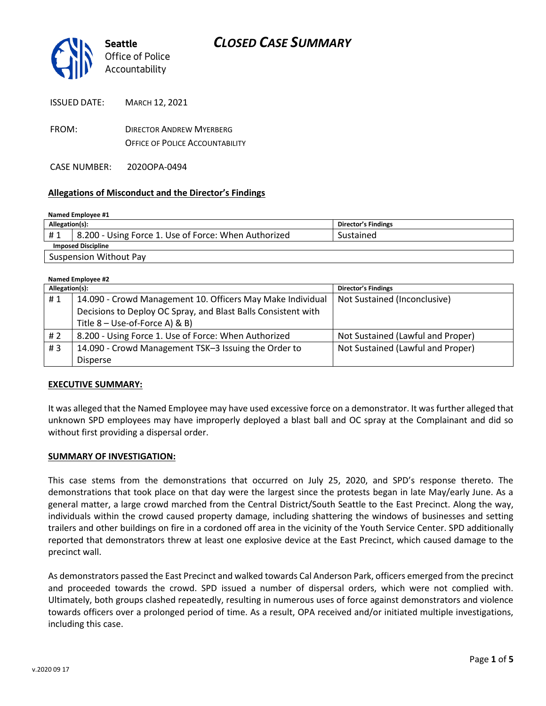

| ISSUED DATE: | <b>MARCH 12. 2021</b>                                                     |
|--------------|---------------------------------------------------------------------------|
| FROM:        | <b>DIRECTOR ANDREW MYERBERG</b><br><b>OFFICE OF POLICE ACCOUNTABILITY</b> |
|              |                                                                           |

CASE NUMBER: 2020OPA-0494

## **Allegations of Misconduct and the Director's Findings**

| Named Employee #1         |                                                      |                     |  |
|---------------------------|------------------------------------------------------|---------------------|--|
| Allegation(s):            |                                                      | Director's Findings |  |
| #1                        | 8.200 - Using Force 1. Use of Force: When Authorized | Sustained           |  |
| <b>Imposed Discipline</b> |                                                      |                     |  |
|                           | <b>Suspension Without Pay</b>                        |                     |  |

| Named Employee #2 |                                                               |                                   |  |
|-------------------|---------------------------------------------------------------|-----------------------------------|--|
| Allegation(s):    |                                                               | <b>Director's Findings</b>        |  |
| #1                | 14.090 - Crowd Management 10. Officers May Make Individual    | Not Sustained (Inconclusive)      |  |
|                   | Decisions to Deploy OC Spray, and Blast Balls Consistent with |                                   |  |
|                   | Title $8 -$ Use-of-Force A) & B)                              |                                   |  |
| #2                | 8.200 - Using Force 1. Use of Force: When Authorized          | Not Sustained (Lawful and Proper) |  |
| #3                | 14.090 - Crowd Management TSK-3 Issuing the Order to          | Not Sustained (Lawful and Proper) |  |
|                   | <b>Disperse</b>                                               |                                   |  |

### **EXECUTIVE SUMMARY:**

It was alleged that the Named Employee may have used excessive force on a demonstrator. It was further alleged that unknown SPD employees may have improperly deployed a blast ball and OC spray at the Complainant and did so without first providing a dispersal order.

### **SUMMARY OF INVESTIGATION:**

This case stems from the demonstrations that occurred on July 25, 2020, and SPD's response thereto. The demonstrations that took place on that day were the largest since the protests began in late May/early June. As a general matter, a large crowd marched from the Central District/South Seattle to the East Precinct. Along the way, individuals within the crowd caused property damage, including shattering the windows of businesses and setting trailers and other buildings on fire in a cordoned off area in the vicinity of the Youth Service Center. SPD additionally reported that demonstrators threw at least one explosive device at the East Precinct, which caused damage to the precinct wall.

As demonstrators passed the East Precinct and walked towards Cal Anderson Park, officers emerged from the precinct and proceeded towards the crowd. SPD issued a number of dispersal orders, which were not complied with. Ultimately, both groups clashed repeatedly, resulting in numerous uses of force against demonstrators and violence towards officers over a prolonged period of time. As a result, OPA received and/or initiated multiple investigations, including this case.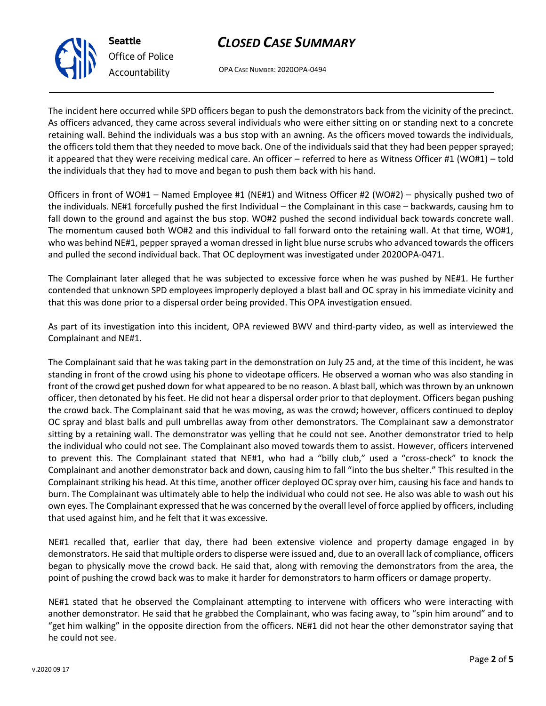## *CLOSED CASE SUMMARY*

OPA CASE NUMBER: 2020OPA-0494

The incident here occurred while SPD officers began to push the demonstrators back from the vicinity of the precinct. As officers advanced, they came across several individuals who were either sitting on or standing next to a concrete retaining wall. Behind the individuals was a bus stop with an awning. As the officers moved towards the individuals, the officers told them that they needed to move back. One of the individuals said that they had been pepper sprayed; it appeared that they were receiving medical care. An officer – referred to here as Witness Officer #1 (WO#1) – told the individuals that they had to move and began to push them back with his hand.

Officers in front of WO#1 – Named Employee #1 (NE#1) and Witness Officer #2 (WO#2) – physically pushed two of the individuals. NE#1 forcefully pushed the first Individual – the Complainant in this case – backwards, causing hm to fall down to the ground and against the bus stop. WO#2 pushed the second individual back towards concrete wall. The momentum caused both WO#2 and this individual to fall forward onto the retaining wall. At that time, WO#1, who was behind NE#1, pepper sprayed a woman dressed in light blue nurse scrubs who advanced towards the officers and pulled the second individual back. That OC deployment was investigated under 2020OPA-0471.

The Complainant later alleged that he was subjected to excessive force when he was pushed by NE#1. He further contended that unknown SPD employees improperly deployed a blast ball and OC spray in his immediate vicinity and that this was done prior to a dispersal order being provided. This OPA investigation ensued.

As part of its investigation into this incident, OPA reviewed BWV and third-party video, as well as interviewed the Complainant and NE#1.

The Complainant said that he was taking part in the demonstration on July 25 and, at the time of this incident, he was standing in front of the crowd using his phone to videotape officers. He observed a woman who was also standing in front of the crowd get pushed down for what appeared to be no reason. A blast ball, which was thrown by an unknown officer, then detonated by his feet. He did not hear a dispersal order prior to that deployment. Officers began pushing the crowd back. The Complainant said that he was moving, as was the crowd; however, officers continued to deploy OC spray and blast balls and pull umbrellas away from other demonstrators. The Complainant saw a demonstrator sitting by a retaining wall. The demonstrator was yelling that he could not see. Another demonstrator tried to help the individual who could not see. The Complainant also moved towards them to assist. However, officers intervened to prevent this. The Complainant stated that NE#1, who had a "billy club," used a "cross-check" to knock the Complainant and another demonstrator back and down, causing him to fall "into the bus shelter." This resulted in the Complainant striking his head. At this time, another officer deployed OC spray over him, causing his face and hands to burn. The Complainant was ultimately able to help the individual who could not see. He also was able to wash out his own eyes. The Complainant expressed that he was concerned by the overall level of force applied by officers, including that used against him, and he felt that it was excessive.

NE#1 recalled that, earlier that day, there had been extensive violence and property damage engaged in by demonstrators. He said that multiple orders to disperse were issued and, due to an overall lack of compliance, officers began to physically move the crowd back. He said that, along with removing the demonstrators from the area, the point of pushing the crowd back was to make it harder for demonstrators to harm officers or damage property.

NE#1 stated that he observed the Complainant attempting to intervene with officers who were interacting with another demonstrator. He said that he grabbed the Complainant, who was facing away, to "spin him around" and to "get him walking" in the opposite direction from the officers. NE#1 did not hear the other demonstrator saying that he could not see.



**Seattle**

*Office of Police*

*Accountability*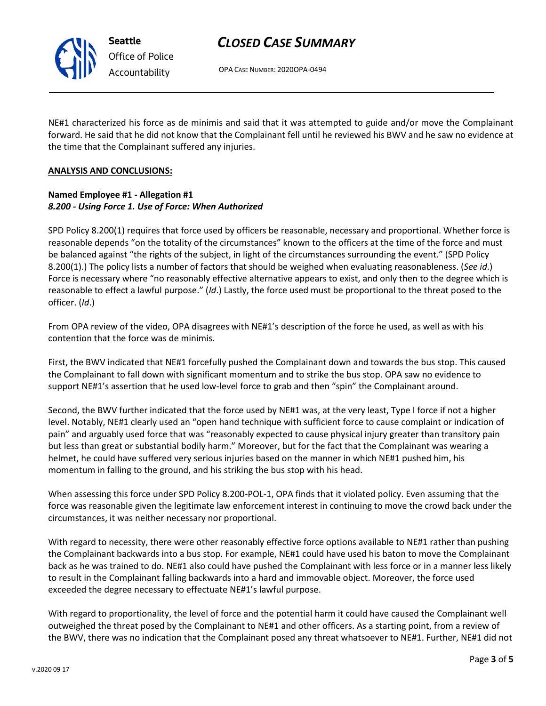## *CLOSED CASE SUMMARY*

OPA CASE NUMBER: 2020OPA-0494

NE#1 characterized his force as de minimis and said that it was attempted to guide and/or move the Complainant forward. He said that he did not know that the Complainant fell until he reviewed his BWV and he saw no evidence at the time that the Complainant suffered any injuries.

## **ANALYSIS AND CONCLUSIONS:**

## **Named Employee #1 - Allegation #1** *8.200 - Using Force 1. Use of Force: When Authorized*

SPD Policy 8.200(1) requires that force used by officers be reasonable, necessary and proportional. Whether force is reasonable depends "on the totality of the circumstances" known to the officers at the time of the force and must be balanced against "the rights of the subject, in light of the circumstances surrounding the event." (SPD Policy 8.200(1).) The policy lists a number of factors that should be weighed when evaluating reasonableness. (*See id*.) Force is necessary where "no reasonably effective alternative appears to exist, and only then to the degree which is reasonable to effect a lawful purpose." (*Id*.) Lastly, the force used must be proportional to the threat posed to the officer. (*Id*.)

From OPA review of the video, OPA disagrees with NE#1's description of the force he used, as well as with his contention that the force was de minimis.

First, the BWV indicated that NE#1 forcefully pushed the Complainant down and towards the bus stop. This caused the Complainant to fall down with significant momentum and to strike the bus stop. OPA saw no evidence to support NE#1's assertion that he used low-level force to grab and then "spin" the Complainant around.

Second, the BWV further indicated that the force used by NE#1 was, at the very least, Type I force if not a higher level. Notably, NE#1 clearly used an "open hand technique with sufficient force to cause complaint or indication of pain" and arguably used force that was "reasonably expected to cause physical injury greater than transitory pain but less than great or substantial bodily harm." Moreover, but for the fact that the Complainant was wearing a helmet, he could have suffered very serious injuries based on the manner in which NE#1 pushed him, his momentum in falling to the ground, and his striking the bus stop with his head.

When assessing this force under SPD Policy 8.200-POL-1, OPA finds that it violated policy. Even assuming that the force was reasonable given the legitimate law enforcement interest in continuing to move the crowd back under the circumstances, it was neither necessary nor proportional.

With regard to necessity, there were other reasonably effective force options available to NE#1 rather than pushing the Complainant backwards into a bus stop. For example, NE#1 could have used his baton to move the Complainant back as he was trained to do. NE#1 also could have pushed the Complainant with less force or in a manner less likely to result in the Complainant falling backwards into a hard and immovable object. Moreover, the force used exceeded the degree necessary to effectuate NE#1's lawful purpose.

With regard to proportionality, the level of force and the potential harm it could have caused the Complainant well outweighed the threat posed by the Complainant to NE#1 and other officers. As a starting point, from a review of the BWV, there was no indication that the Complainant posed any threat whatsoever to NE#1. Further, NE#1 did not



**Seattle** *Office of Police Accountability*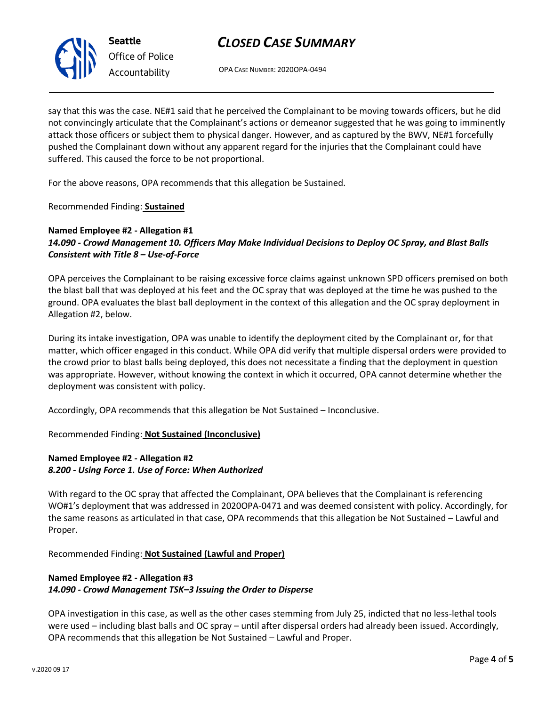# *CLOSED CASE SUMMARY*

OPA CASE NUMBER: 2020OPA-0494

say that this was the case. NE#1 said that he perceived the Complainant to be moving towards officers, but he did not convincingly articulate that the Complainant's actions or demeanor suggested that he was going to imminently attack those officers or subject them to physical danger. However, and as captured by the BWV, NE#1 forcefully pushed the Complainant down without any apparent regard for the injuries that the Complainant could have suffered. This caused the force to be not proportional.

For the above reasons, OPA recommends that this allegation be Sustained.

Recommended Finding: **Sustained**

## **Named Employee #2 - Allegation #1** *14.090 - Crowd Management 10. Officers May Make Individual Decisions to Deploy OC Spray, and Blast Balls Consistent with Title 8 – Use-of-Force*

OPA perceives the Complainant to be raising excessive force claims against unknown SPD officers premised on both the blast ball that was deployed at his feet and the OC spray that was deployed at the time he was pushed to the ground. OPA evaluates the blast ball deployment in the context of this allegation and the OC spray deployment in Allegation #2, below.

During its intake investigation, OPA was unable to identify the deployment cited by the Complainant or, for that matter, which officer engaged in this conduct. While OPA did verify that multiple dispersal orders were provided to the crowd prior to blast balls being deployed, this does not necessitate a finding that the deployment in question was appropriate. However, without knowing the context in which it occurred, OPA cannot determine whether the deployment was consistent with policy.

Accordingly, OPA recommends that this allegation be Not Sustained – Inconclusive.

Recommended Finding: **Not Sustained (Inconclusive)**

## **Named Employee #2 - Allegation #2** *8.200 - Using Force 1. Use of Force: When Authorized*

With regard to the OC spray that affected the Complainant, OPA believes that the Complainant is referencing WO#1's deployment that was addressed in 2020OPA-0471 and was deemed consistent with policy. Accordingly, for the same reasons as articulated in that case, OPA recommends that this allegation be Not Sustained – Lawful and Proper.

Recommended Finding: **Not Sustained (Lawful and Proper)**

## **Named Employee #2 - Allegation #3** *14.090 - Crowd Management TSK–3 Issuing the Order to Disperse*

OPA investigation in this case, as well as the other cases stemming from July 25, indicted that no less-lethal tools were used – including blast balls and OC spray – until after dispersal orders had already been issued. Accordingly, OPA recommends that this allegation be Not Sustained – Lawful and Proper.



**Seattle** *Office of Police Accountability*